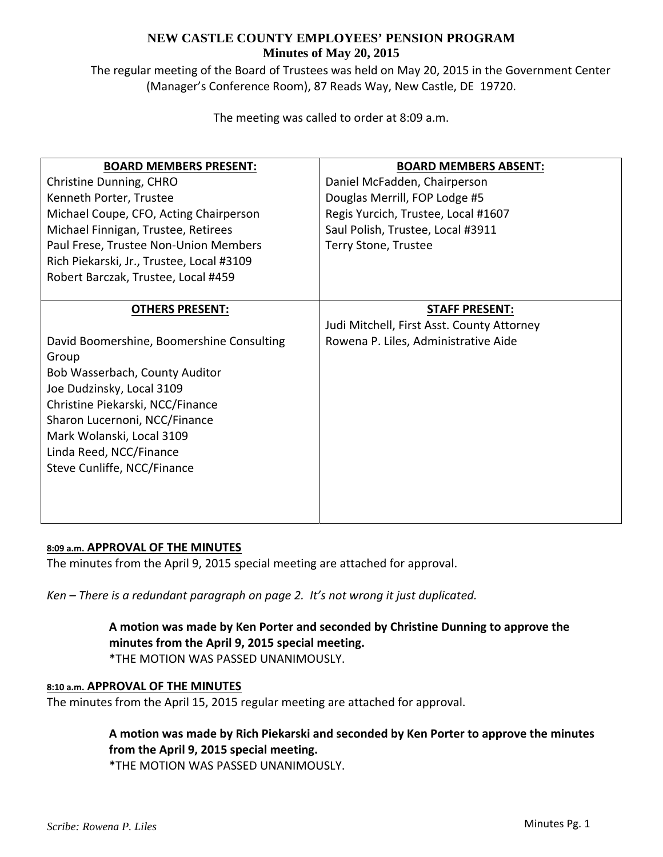The regular meeting of the Board of Trustees was held on May 20, 2015 in the Government Center (Manager's Conference Room), 87 Reads Way, New Castle, DE 19720.

The meeting was called to order at 8:09 a.m.

| <b>BOARD MEMBERS PRESENT:</b>             | <b>BOARD MEMBERS ABSENT:</b>               |
|-------------------------------------------|--------------------------------------------|
| Christine Dunning, CHRO                   | Daniel McFadden, Chairperson               |
| Kenneth Porter, Trustee                   | Douglas Merrill, FOP Lodge #5              |
| Michael Coupe, CFO, Acting Chairperson    | Regis Yurcich, Trustee, Local #1607        |
| Michael Finnigan, Trustee, Retirees       | Saul Polish, Trustee, Local #3911          |
| Paul Frese, Trustee Non-Union Members     | Terry Stone, Trustee                       |
| Rich Piekarski, Jr., Trustee, Local #3109 |                                            |
| Robert Barczak, Trustee, Local #459       |                                            |
|                                           |                                            |
| <b>OTHERS PRESENT:</b>                    | <b>STAFF PRESENT:</b>                      |
|                                           | Judi Mitchell, First Asst. County Attorney |
| David Boomershine, Boomershine Consulting | Rowena P. Liles, Administrative Aide       |
| Group                                     |                                            |
| Bob Wasserbach, County Auditor            |                                            |
| Joe Dudzinsky, Local 3109                 |                                            |
| Christine Piekarski, NCC/Finance          |                                            |
| Sharon Lucernoni, NCC/Finance             |                                            |
| Mark Wolanski, Local 3109                 |                                            |
| Linda Reed, NCC/Finance                   |                                            |
| Steve Cunliffe, NCC/Finance               |                                            |
|                                           |                                            |
|                                           |                                            |
|                                           |                                            |

### **8:09 a.m. APPROVAL OF THE MINUTES**

The minutes from the April 9, 2015 special meeting are attached for approval.

*Ken – There is a redundant paragraph on page 2. It's not wrong it just duplicated.*

### **A motion was made by Ken Porter and seconded by Christine Dunning to approve the minutes from the April 9, 2015 special meeting.** \*THE MOTION WAS PASSED UNANIMOUSLY.

### **8:10 a.m. APPROVAL OF THE MINUTES**

The minutes from the April 15, 2015 regular meeting are attached for approval.

## **A motion was made by Rich Piekarski and seconded by Ken Porter to approve the minutes from the April 9, 2015 special meeting.**

\*THE MOTION WAS PASSED UNANIMOUSLY.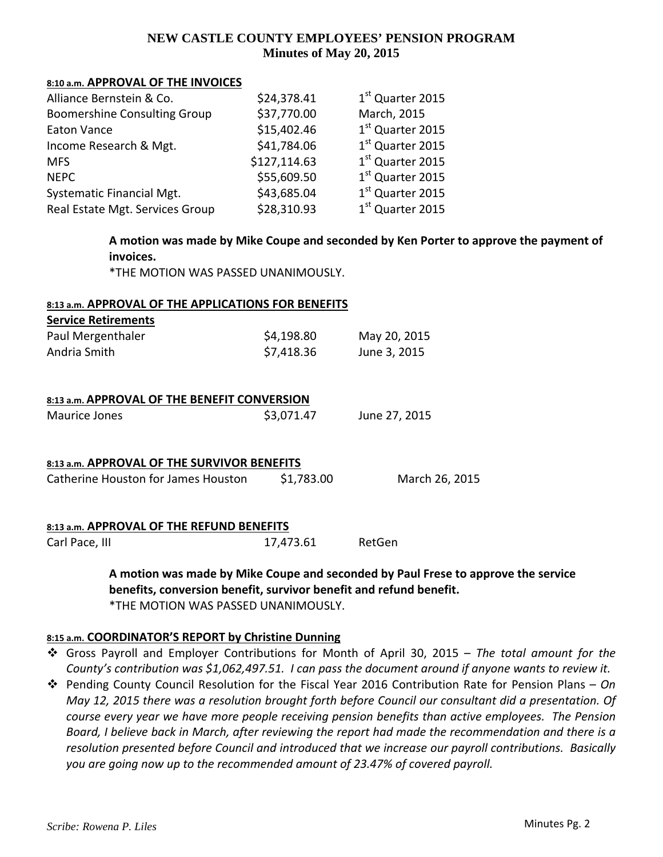#### **8:10 a.m. APPROVAL OF THE INVOICES**

| Alliance Bernstein & Co.            | \$24,378.41  | 1st Quarter 2015             |
|-------------------------------------|--------------|------------------------------|
| <b>Boomershine Consulting Group</b> | \$37,770.00  | March, 2015                  |
| <b>Eaton Vance</b>                  | \$15,402.46  | 1 <sup>st</sup> Quarter 2015 |
| Income Research & Mgt.              | \$41,784.06  | 1 <sup>st</sup> Quarter 2015 |
| <b>MFS</b>                          | \$127,114.63 | 1 <sup>st</sup> Quarter 2015 |
| <b>NEPC</b>                         | \$55,609.50  | 1 <sup>st</sup> Quarter 2015 |
| Systematic Financial Mgt.           | \$43,685.04  | 1 <sup>st</sup> Quarter 2015 |
| Real Estate Mgt. Services Group     | \$28,310.93  | 1 <sup>st</sup> Quarter 2015 |

**A motion was made by Mike Coupe and seconded by Ken Porter to approve the payment of invoices.**

\*THE MOTION WAS PASSED UNANIMOUSLY.

#### **8:13 a.m. APPROVAL OF THE APPLICATIONS FOR BENEFITS**

| <b>Service Retirements</b> |            |              |
|----------------------------|------------|--------------|
| Paul Mergenthaler          | \$4,198.80 | May 20, 2015 |
| Andria Smith               | \$7,418.36 | June 3, 2015 |

| 8:13 a.m. APPROVAL OF THE BENEFIT CONVERSION |  |
|----------------------------------------------|--|
|                                              |  |

| Maurice Jones | \$3,071.47 | June 27, 2015 |
|---------------|------------|---------------|
|               |            |               |

| 8:13 a.m. APPROVAL OF THE SURVIVOR BENEFITS |            |                |  |  |
|---------------------------------------------|------------|----------------|--|--|
| Catherine Houston for James Houston         | \$1,783.00 | March 26, 2015 |  |  |

## **8:13 a.m. APPROVAL OF THE REFUND BENEFITS**

Carl Pace, III 17,473.61 RetGen

**A motion was made by Mike Coupe and seconded by Paul Frese to approve the service benefits, conversion benefit, survivor benefit and refund benefit.** \*THE MOTION WAS PASSED UNANIMOUSLY.

#### **8:15 a.m. COORDINATOR'S REPORT by Christine Dunning**

 Gross Payroll and Employer Contributions for Month of April 30, 2015 – *The total amount for the County's contribution was \$1,062,497.51. I can pass the document around if anyone wants to review it.*

 Pending County Council Resolution for the Fiscal Year 2016 Contribution Rate for Pension Plans – *On May 12, 2015 there was a resolution brought forth before Council our consultant did a presentation. Of course every year we have more people receiving pension benefits than active employees. The Pension* Board, I believe back in March, after reviewing the report had made the recommendation and there is a *resolution presented before Council and introduced that we increase our payroll contributions. Basically you are going now up to the recommended amount of 23.47% of covered payroll.*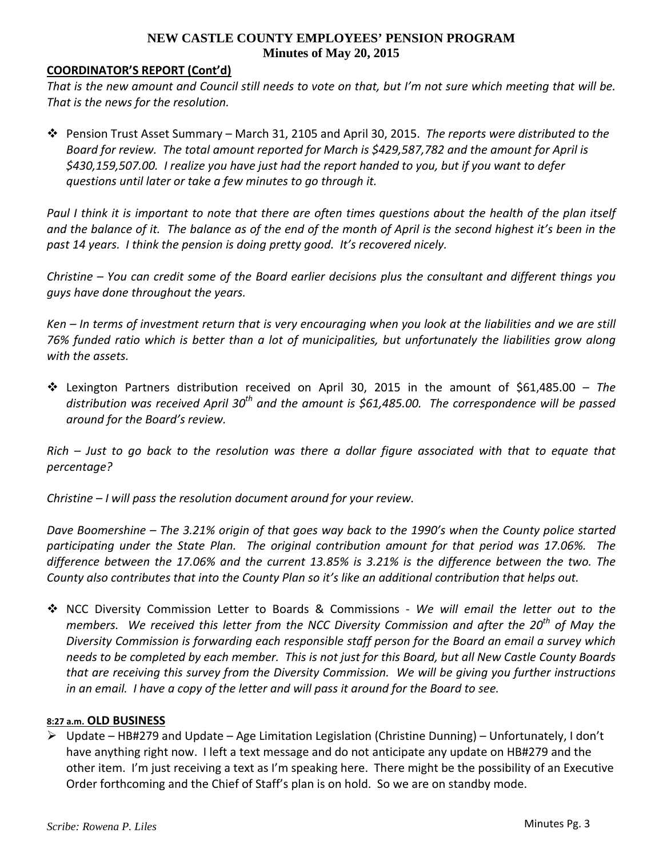## **COORDINATOR'S REPORT (Cont'd)**

That is the new amount and Council still needs to vote on that, but I'm not sure which meeting that will be. *That is the news for the resolution.*

 Pension Trust Asset Summary – March 31, 2105 and April 30, 2015. *The reports were distributed to the Board for review. The total amount reported for March is \$429,587,782 and the amount for April is* \$430,159,507.00. I realize you have just had the report handed to you, but if you want to defer *questions until later or take a few minutes to go through it.*

Paul I think it is important to note that there are often times questions about the health of the plan itself and the balance of it. The balance as of the end of the month of April is the second highest it's been in the *past 14 years. I think the pension is doing pretty good. It's recovered nicely.*

Christine – You can credit some of the Board earlier decisions plus the consultant and different things you *guys have done throughout the years.*

Ken – In terms of investment return that is very encouraging when you look at the liabilities and we are still 76% funded ratio which is better than a lot of municipalities, but unfortunately the liabilities grow along *with the assets.*

 Lexington Partners distribution received on April 30, 2015 in the amount of \$61,485.00 – *The distribution was received April 30th and the amount is \$61,485.00. The correspondence will be passed around for the Board's review.*

Rich – Just to go back to the resolution was there a dollar figure associated with that to equate that *percentage?*

*Christine – I will pass the resolution document around for your review.*

Dave Boomershine – The 3.21% origin of that goes way back to the 1990's when the County police started participating under the State Plan. The original contribution amount for that period was 17.06%. The *difference between the 17.06% and the current 13.85% is 3.21% is the difference between the two. The County also contributes that into the County Plan so it's like an additional contribution that helps out.*

 NCC Diversity Commission Letter to Boards & Commissions ‐ *We will email the letter out to the members. We received this letter from the NCC Diversity Commission and after the 20th of May the Diversity Commission is forwarding each responsible staff person for the Board an email a survey which* needs to be completed by each member. This is not just for this Board, but all New Castle County Boards *that are receiving this survey from the Diversity Commission. We will be giving you further instructions* in an email. I have a copy of the letter and will pass it around for the Board to see.

### **8:27 a.m. OLD BUSINESS**

 $\triangleright$  Update – HB#279 and Update – Age Limitation Legislation (Christine Dunning) – Unfortunately, I don't have anything right now. I left a text message and do not anticipate any update on HB#279 and the other item. I'm just receiving a text as I'm speaking here. There might be the possibility of an Executive Order forthcoming and the Chief of Staff's plan is on hold. So we are on standby mode.